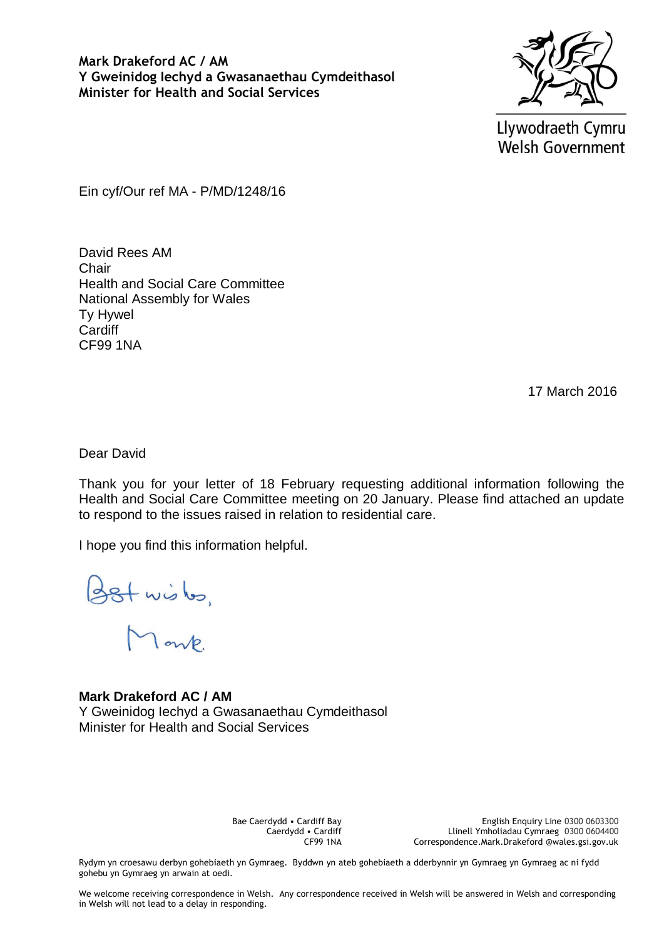**Mark Drakeford AC / AM Y Gweinidog Iechyd a Gwasanaethau Cymdeithasol Minister for Health and Social Services**



Llywodraeth Cymru **Welsh Government** 

Ein cyf/Our ref MA - P/MD/1248/16

David Rees AM Chair Health and Social Care Committee National Assembly for Wales Ty Hywel **Cardiff** CF99 1NA

17 March 2016

Dear David

Thank you for your letter of 18 February requesting additional information following the Health and Social Care Committee meeting on 20 January. Please find attached an update to respond to the issues raised in relation to residential care.

I hope you find this information helpful.

Bstwister,

**Mark Drakeford AC / AM** Y Gweinidog Iechyd a Gwasanaethau Cymdeithasol Minister for Health and Social Services

> Bae Caerdydd • Cardiff Bay Caerdydd • Cardiff CF99 1NA

English Enquiry Line 0300 0603300 Llinell Ymholiadau Cymraeg 0300 0604400 Correspondence.Mark.Drakeford @wales.gsi.gov.uk

Rydym yn croesawu derbyn gohebiaeth yn Gymraeg. Byddwn yn ateb gohebiaeth a dderbynnir yn Gymraeg yn Gymraeg ac ni fydd gohebu yn Gymraeg yn arwain at oedi.

We welcome receiving correspondence in Welsh. Any correspondence received in Welsh will be answered in Welsh and corresponding in Welsh will not lead to a delay in responding.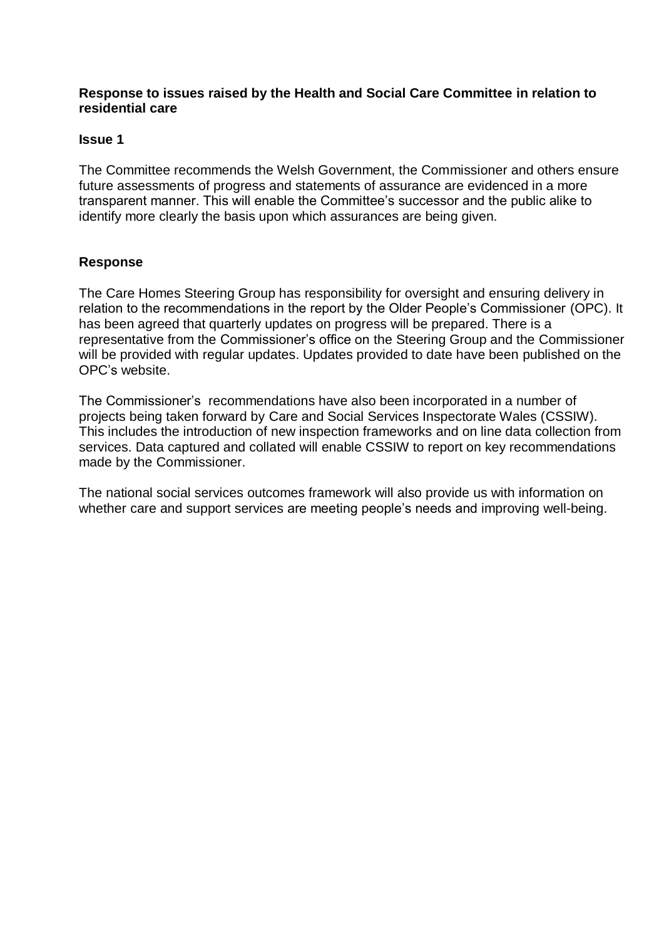## **Response to issues raised by the Health and Social Care Committee in relation to residential care**

## **Issue 1**

The Committee recommends the Welsh Government, the Commissioner and others ensure future assessments of progress and statements of assurance are evidenced in a more transparent manner. This will enable the Committee's successor and the public alike to identify more clearly the basis upon which assurances are being given.

# **Response**

The Care Homes Steering Group has responsibility for oversight and ensuring delivery in relation to the recommendations in the report by the Older People's Commissioner (OPC). It has been agreed that quarterly updates on progress will be prepared. There is a representative from the Commissioner's office on the Steering Group and the Commissioner will be provided with regular updates. Updates provided to date have been published on the OPC's website.

The Commissioner's recommendations have also been incorporated in a number of projects being taken forward by Care and Social Services Inspectorate Wales (CSSIW). This includes the introduction of new inspection frameworks and on line data collection from services. Data captured and collated will enable CSSIW to report on key recommendations made by the Commissioner.

The national social services outcomes framework will also provide us with information on whether care and support services are meeting people's needs and improving well-being.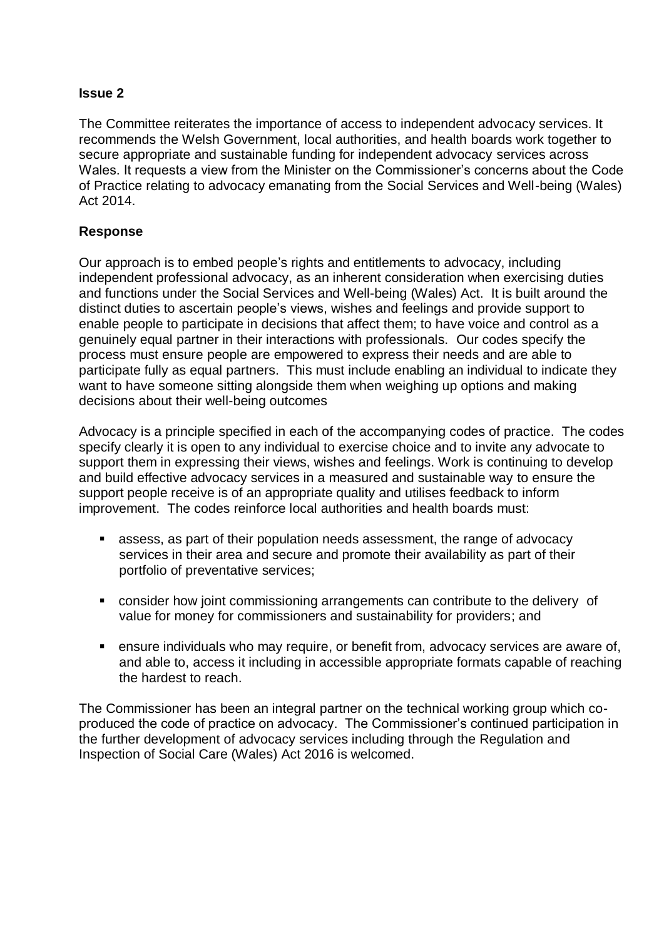The Committee reiterates the importance of access to independent advocacy services. It recommends the Welsh Government, local authorities, and health boards work together to secure appropriate and sustainable funding for independent advocacy services across Wales. It requests a view from the Minister on the Commissioner's concerns about the Code of Practice relating to advocacy emanating from the Social Services and Well-being (Wales) Act 2014.

# **Response**

Our approach is to embed people's rights and entitlements to advocacy, including independent professional advocacy, as an inherent consideration when exercising duties and functions under the Social Services and Well-being (Wales) Act. It is built around the distinct duties to ascertain people's views, wishes and feelings and provide support to enable people to participate in decisions that affect them; to have voice and control as a genuinely equal partner in their interactions with professionals. Our codes specify the process must ensure people are empowered to express their needs and are able to participate fully as equal partners. This must include enabling an individual to indicate they want to have someone sitting alongside them when weighing up options and making decisions about their well-being outcomes

Advocacy is a principle specified in each of the accompanying codes of practice. The codes specify clearly it is open to any individual to exercise choice and to invite any advocate to support them in expressing their views, wishes and feelings. Work is continuing to develop and build effective advocacy services in a measured and sustainable way to ensure the support people receive is of an appropriate quality and utilises feedback to inform improvement. The codes reinforce local authorities and health boards must:

- assess, as part of their population needs assessment, the range of advocacy services in their area and secure and promote their availability as part of their portfolio of preventative services;
- consider how joint commissioning arrangements can contribute to the delivery of value for money for commissioners and sustainability for providers; and
- ensure individuals who may require, or benefit from, advocacy services are aware of, and able to, access it including in accessible appropriate formats capable of reaching the hardest to reach.

The Commissioner has been an integral partner on the technical working group which coproduced the code of practice on advocacy. The Commissioner's continued participation in the further development of advocacy services including through the Regulation and Inspection of Social Care (Wales) Act 2016 is welcomed.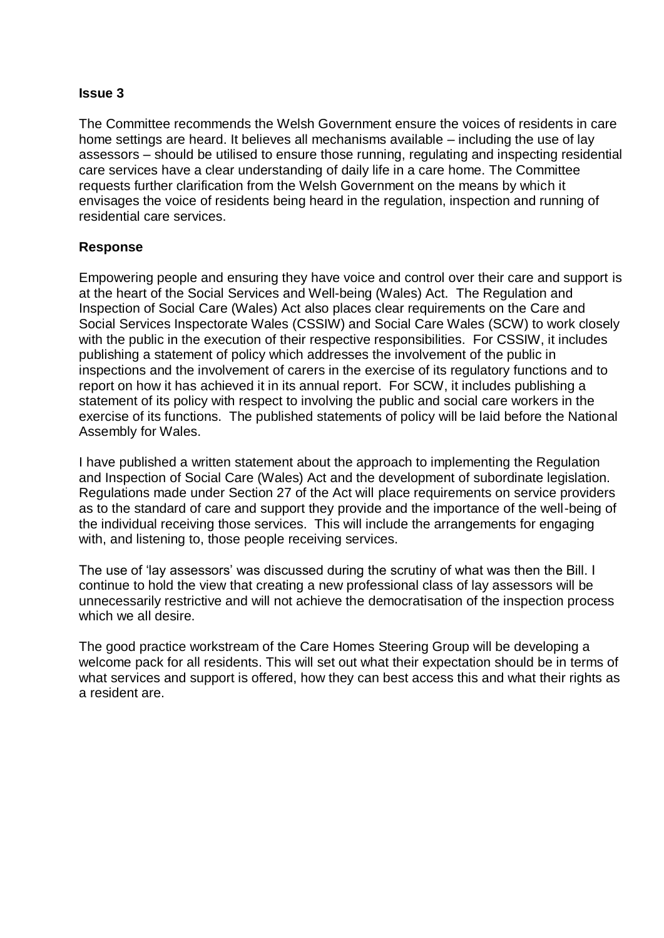The Committee recommends the Welsh Government ensure the voices of residents in care home settings are heard. It believes all mechanisms available – including the use of lay assessors – should be utilised to ensure those running, regulating and inspecting residential care services have a clear understanding of daily life in a care home. The Committee requests further clarification from the Welsh Government on the means by which it envisages the voice of residents being heard in the regulation, inspection and running of residential care services.

# **Response**

Empowering people and ensuring they have voice and control over their care and support is at the heart of the Social Services and Well-being (Wales) Act. The Regulation and Inspection of Social Care (Wales) Act also places clear requirements on the Care and Social Services Inspectorate Wales (CSSIW) and Social Care Wales (SCW) to work closely with the public in the execution of their respective responsibilities. For CSSIW, it includes publishing a statement of policy which addresses the involvement of the public in inspections and the involvement of carers in the exercise of its regulatory functions and to report on how it has achieved it in its annual report. For SCW, it includes publishing a statement of its policy with respect to involving the public and social care workers in the exercise of its functions. The published statements of policy will be laid before the National Assembly for Wales.

I have published a written statement about the approach to implementing the Regulation and Inspection of Social Care (Wales) Act and the development of subordinate legislation. Regulations made under Section 27 of the Act will place requirements on service providers as to the standard of care and support they provide and the importance of the well-being of the individual receiving those services. This will include the arrangements for engaging with, and listening to, those people receiving services.

The use of 'lay assessors' was discussed during the scrutiny of what was then the Bill. I continue to hold the view that creating a new professional class of lay assessors will be unnecessarily restrictive and will not achieve the democratisation of the inspection process which we all desire.

The good practice workstream of the Care Homes Steering Group will be developing a welcome pack for all residents. This will set out what their expectation should be in terms of what services and support is offered, how they can best access this and what their rights as a resident are.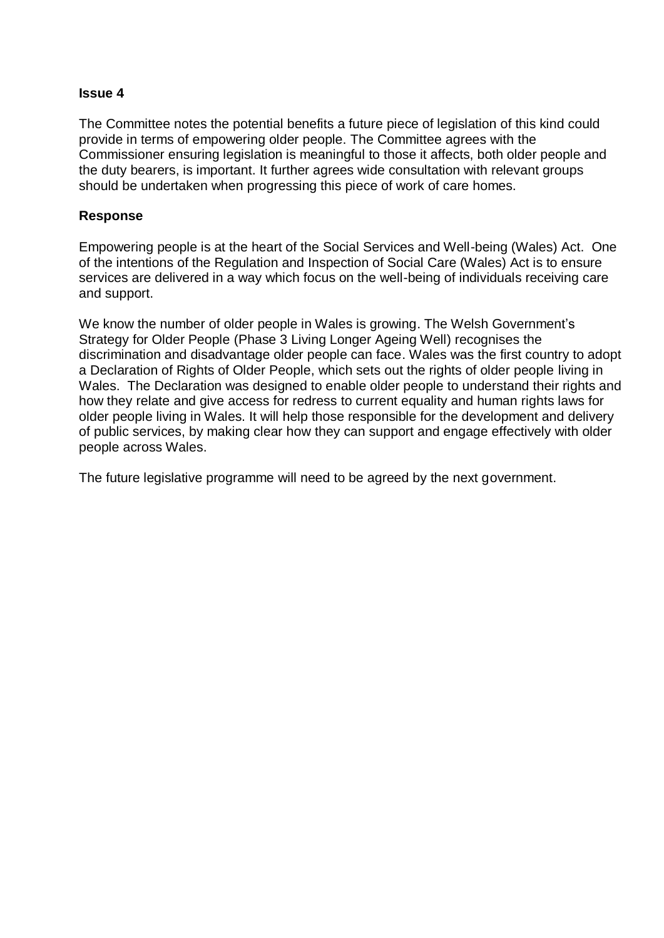The Committee notes the potential benefits a future piece of legislation of this kind could provide in terms of empowering older people. The Committee agrees with the Commissioner ensuring legislation is meaningful to those it affects, both older people and the duty bearers, is important. It further agrees wide consultation with relevant groups should be undertaken when progressing this piece of work of care homes.

## **Response**

Empowering people is at the heart of the Social Services and Well-being (Wales) Act. One of the intentions of the Regulation and Inspection of Social Care (Wales) Act is to ensure services are delivered in a way which focus on the well-being of individuals receiving care and support.

We know the number of older people in Wales is growing. The Welsh Government's Strategy for Older People (Phase 3 Living Longer Ageing Well) recognises the discrimination and disadvantage older people can face. Wales was the first country to adopt a Declaration of Rights of Older People, which sets out the rights of older people living in Wales. The Declaration was designed to enable older people to understand their rights and how they relate and give access for redress to current equality and human rights laws for older people living in Wales. It will help those responsible for the development and delivery of public services, by making clear how they can support and engage effectively with older people across Wales.

The future legislative programme will need to be agreed by the next government.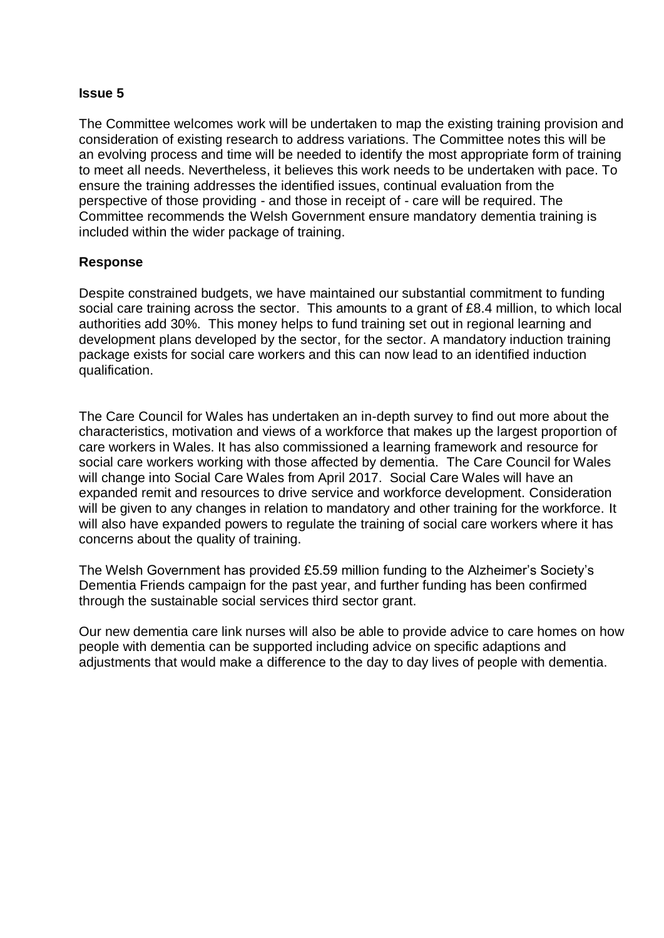The Committee welcomes work will be undertaken to map the existing training provision and consideration of existing research to address variations. The Committee notes this will be an evolving process and time will be needed to identify the most appropriate form of training to meet all needs. Nevertheless, it believes this work needs to be undertaken with pace. To ensure the training addresses the identified issues, continual evaluation from the perspective of those providing - and those in receipt of - care will be required. The Committee recommends the Welsh Government ensure mandatory dementia training is included within the wider package of training.

## **Response**

Despite constrained budgets, we have maintained our substantial commitment to funding social care training across the sector. This amounts to a grant of £8.4 million, to which local authorities add 30%. This money helps to fund training set out in regional learning and development plans developed by the sector, for the sector. A mandatory induction training package exists for social care workers and this can now lead to an identified induction qualification.

The Care Council for Wales has undertaken an in-depth survey to find out more about the characteristics, motivation and views of a workforce that makes up the largest proportion of care workers in Wales. It has also commissioned a learning framework and resource for social care workers working with those affected by dementia. The Care Council for Wales will change into Social Care Wales from April 2017. Social Care Wales will have an expanded remit and resources to drive service and workforce development. Consideration will be given to any changes in relation to mandatory and other training for the workforce. It will also have expanded powers to regulate the training of social care workers where it has concerns about the quality of training.

The Welsh Government has provided £5.59 million funding to the Alzheimer's Society's Dementia Friends campaign for the past year, and further funding has been confirmed through the sustainable social services third sector grant.

Our new dementia care link nurses will also be able to provide advice to care homes on how people with dementia can be supported including advice on specific adaptions and adjustments that would make a difference to the day to day lives of people with dementia.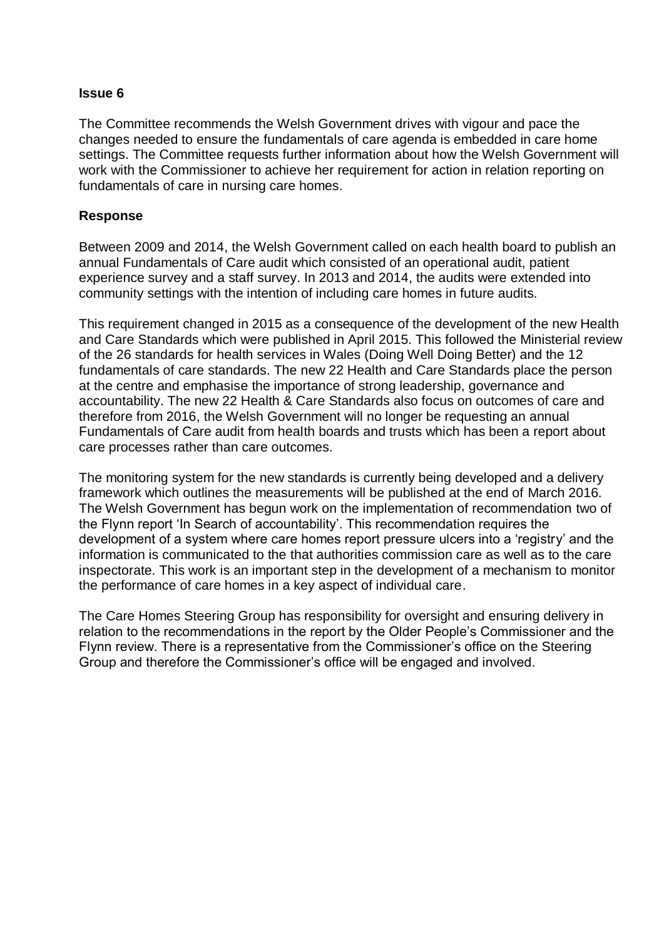The Committee recommends the Welsh Government drives with vigour and pace the changes needed to ensure the fundamentals of care agenda is embedded in care home settings. The Committee requests further information about how the Welsh Government will work with the Commissioner to achieve her requirement for action in relation reporting on fundamentals of care in nursing care homes.

## **Response**

Between 2009 and 2014, the Welsh Government called on each health board to publish an annual Fundamentals of Care audit which consisted of an operational audit, patient experience survey and a staff survey. In 2013 and 2014, the audits were extended into community settings with the intention of including care homes in future audits.

This requirement changed in 2015 as a consequence of the development of the new Health and Care Standards which were published in April 2015. This followed the Ministerial review of the 26 standards for health services in Wales (Doing Well Doing Better) and the 12 fundamentals of care standards. The new 22 Health and Care Standards place the person at the centre and emphasise the importance of strong leadership, governance and accountability. The new 22 Health & Care Standards also focus on outcomes of care and therefore from 2016, the Welsh Government will no longer be requesting an annual Fundamentals of Care audit from health boards and trusts which has been a report about care processes rather than care outcomes.

The monitoring system for the new standards is currently being developed and a delivery framework which outlines the measurements will be published at the end of March 2016. The Welsh Government has begun work on the implementation of recommendation two of the Flynn report 'In Search of accountability'. This recommendation requires the development of a system where care homes report pressure ulcers into a 'registry' and the information is communicated to the that authorities commission care as well as to the care inspectorate. This work is an important step in the development of a mechanism to monitor the performance of care homes in a key aspect of individual care.

The Care Homes Steering Group has responsibility for oversight and ensuring delivery in relation to the recommendations in the report by the Older People's Commissioner and the Flynn review. There is a representative from the Commissioner's office on the Steering Group and therefore the Commissioner's office will be engaged and involved.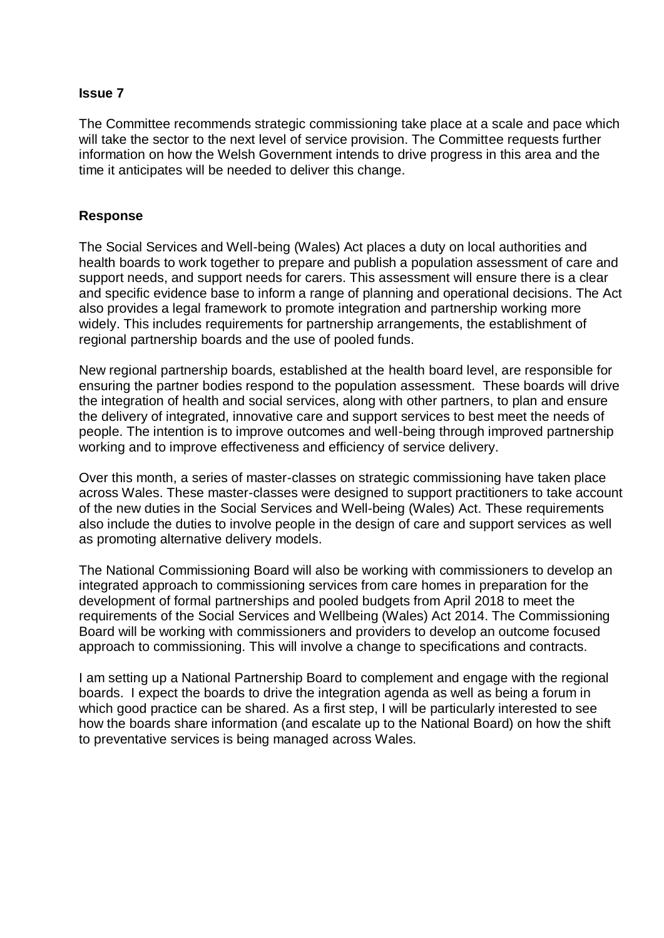The Committee recommends strategic commissioning take place at a scale and pace which will take the sector to the next level of service provision. The Committee requests further information on how the Welsh Government intends to drive progress in this area and the time it anticipates will be needed to deliver this change.

## **Response**

The Social Services and Well-being (Wales) Act places a duty on local authorities and health boards to work together to prepare and publish a population assessment of care and support needs, and support needs for carers. This assessment will ensure there is a clear and specific evidence base to inform a range of planning and operational decisions. The Act also provides a legal framework to promote integration and partnership working more widely. This includes requirements for partnership arrangements, the establishment of regional partnership boards and the use of pooled funds.

New regional partnership boards, established at the health board level, are responsible for ensuring the partner bodies respond to the population assessment. These boards will drive the integration of health and social services, along with other partners, to plan and ensure the delivery of integrated, innovative care and support services to best meet the needs of people. The intention is to improve outcomes and well-being through improved partnership working and to improve effectiveness and efficiency of service delivery.

Over this month, a series of master-classes on strategic commissioning have taken place across Wales. These master-classes were designed to support practitioners to take account of the new duties in the Social Services and Well-being (Wales) Act. These requirements also include the duties to involve people in the design of care and support services as well as promoting alternative delivery models.

The National Commissioning Board will also be working with commissioners to develop an integrated approach to commissioning services from care homes in preparation for the development of formal partnerships and pooled budgets from April 2018 to meet the requirements of the Social Services and Wellbeing (Wales) Act 2014. The Commissioning Board will be working with commissioners and providers to develop an outcome focused approach to commissioning. This will involve a change to specifications and contracts.

I am setting up a National Partnership Board to complement and engage with the regional boards. I expect the boards to drive the integration agenda as well as being a forum in which good practice can be shared. As a first step, I will be particularly interested to see how the boards share information (and escalate up to the National Board) on how the shift to preventative services is being managed across Wales.